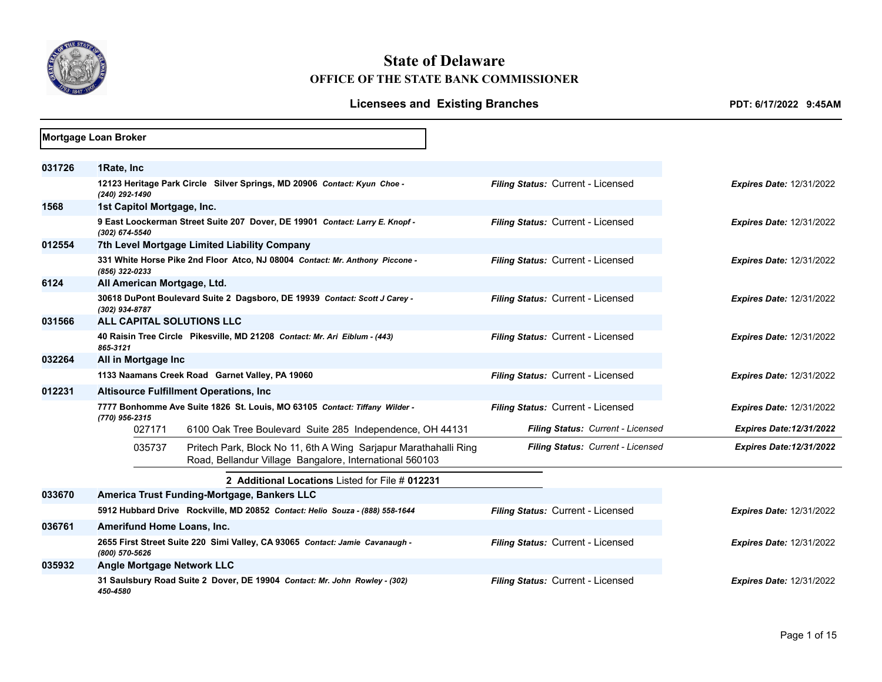

# **State of Delaware OFFICE OF THE STATE BANK COMMISSIONER**

|        | Mortgage Loan Broker        |        |                                                                                                                             |                                   |                                 |
|--------|-----------------------------|--------|-----------------------------------------------------------------------------------------------------------------------------|-----------------------------------|---------------------------------|
|        |                             |        |                                                                                                                             |                                   |                                 |
| 031726 | 1Rate, Inc                  |        |                                                                                                                             |                                   |                                 |
|        | (240) 292-1490              |        | 12123 Heritage Park Circle Silver Springs, MD 20906 Contact: Kyun Choe -                                                    | Filing Status: Current - Licensed | <b>Expires Date: 12/31/2022</b> |
| 1568   | 1st Capitol Mortgage, Inc.  |        |                                                                                                                             |                                   |                                 |
|        | (302) 674-5540              |        | 9 East Loockerman Street Suite 207 Dover, DE 19901 Contact: Larry E. Knopf -                                                | Filing Status: Current - Licensed | <b>Expires Date: 12/31/2022</b> |
| 012554 |                             |        | 7th Level Mortgage Limited Liability Company                                                                                |                                   |                                 |
|        | (856) 322-0233              |        | 331 White Horse Pike 2nd Floor Atco, NJ 08004 Contact: Mr. Anthony Piccone -                                                | Filing Status: Current - Licensed | <b>Expires Date: 12/31/2022</b> |
| 6124   | All American Mortgage, Ltd. |        |                                                                                                                             |                                   |                                 |
|        | (302) 934-8787              |        | 30618 DuPont Boulevard Suite 2 Dagsboro, DE 19939 Contact: Scott J Carey -                                                  | Filing Status: Current - Licensed | <b>Expires Date: 12/31/2022</b> |
| 031566 |                             |        | ALL CAPITAL SOLUTIONS LLC                                                                                                   |                                   |                                 |
|        | 865-3121                    |        | 40 Raisin Tree Circle Pikesville, MD 21208 Contact: Mr. Ari Eiblum - (443)                                                  | Filing Status: Current - Licensed | <b>Expires Date: 12/31/2022</b> |
| 032264 | All in Mortgage Inc         |        |                                                                                                                             |                                   |                                 |
|        |                             |        | 1133 Naamans Creek Road Garnet Valley, PA 19060                                                                             | Filing Status: Current - Licensed | <b>Expires Date: 12/31/2022</b> |
| 012231 |                             |        | <b>Altisource Fulfillment Operations, Inc.</b>                                                                              |                                   |                                 |
|        | (770) 956-2315              |        | 7777 Bonhomme Ave Suite 1826 St. Louis, MO 63105 Contact: Tiffany Wilder -                                                  | Filing Status: Current - Licensed | Expires Date: 12/31/2022        |
|        | 027171                      |        | 6100 Oak Tree Boulevard Suite 285 Independence, OH 44131                                                                    | Filing Status: Current - Licensed | <b>Expires Date:12/31/2022</b>  |
|        |                             | 035737 | Pritech Park, Block No 11, 6th A Wing Sarjapur Marathahalli Ring<br>Road, Bellandur Village Bangalore, International 560103 | Filing Status: Current - Licensed | <b>Expires Date:12/31/2022</b>  |
|        |                             |        | 2 Additional Locations Listed for File # 012231                                                                             |                                   |                                 |
| 033670 |                             |        | America Trust Funding-Mortgage, Bankers LLC                                                                                 |                                   |                                 |
|        |                             |        | 5912 Hubbard Drive Rockville, MD 20852 Contact: Helio Souza - (888) 558-1644                                                | Filing Status: Current - Licensed | <b>Expires Date: 12/31/2022</b> |
| 036761 | Amerifund Home Loans, Inc.  |        |                                                                                                                             |                                   |                                 |
|        | (800) 570-5626              |        | 2655 First Street Suite 220 Simi Valley, CA 93065 Contact: Jamie Cavanaugh -                                                | Filing Status: Current - Licensed | <b>Expires Date: 12/31/2022</b> |
| 035932 |                             |        | Angle Mortgage Network LLC                                                                                                  |                                   |                                 |
|        | 450-4580                    |        | 31 Saulsbury Road Suite 2 Dover, DE 19904 Contact: Mr. John Rowley - (302)                                                  | Filing Status: Current - Licensed | <b>Expires Date: 12/31/2022</b> |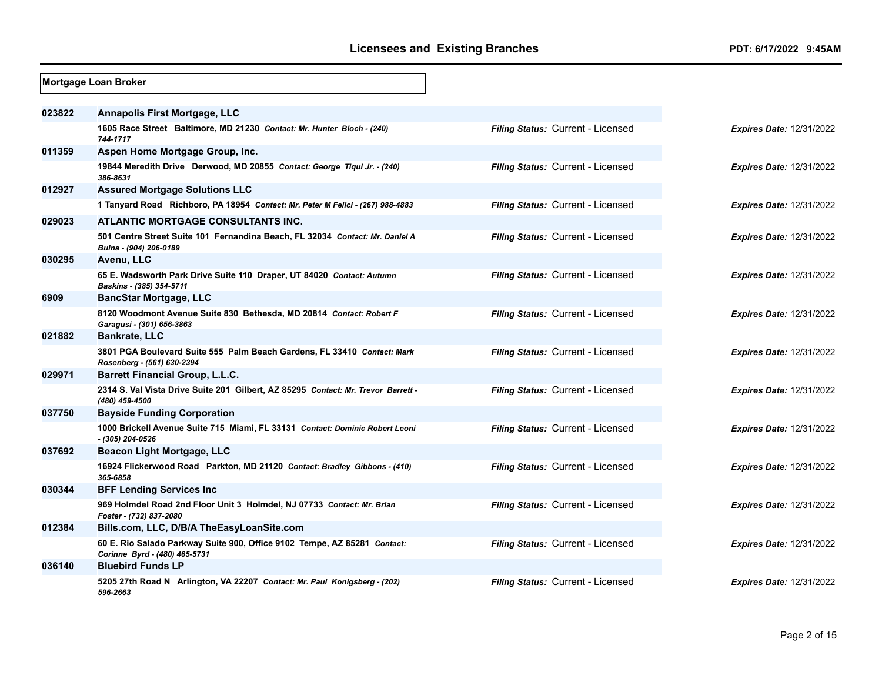|        | Mortgage Loan Broker                                                                                      |                                   |                                 |
|--------|-----------------------------------------------------------------------------------------------------------|-----------------------------------|---------------------------------|
| 023822 | <b>Annapolis First Mortgage, LLC</b>                                                                      |                                   |                                 |
|        | 1605 Race Street Baltimore, MD 21230 Contact: Mr. Hunter Bloch - (240)<br>744-1717                        | Filing Status: Current - Licensed | <b>Expires Date: 12/31/2022</b> |
| 011359 | Aspen Home Mortgage Group, Inc.                                                                           |                                   |                                 |
|        | 19844 Meredith Drive Derwood, MD 20855 Contact: George Tiqui Jr. - (240)<br>386-8631                      | Filing Status: Current - Licensed | <b>Expires Date: 12/31/2022</b> |
| 012927 | <b>Assured Mortgage Solutions LLC</b>                                                                     |                                   |                                 |
|        | 1 Tanyard Road Richboro, PA 18954 Contact: Mr. Peter M Felici - (267) 988-4883                            | Filing Status: Current - Licensed | <b>Expires Date: 12/31/2022</b> |
| 029023 | ATLANTIC MORTGAGE CONSULTANTS INC.                                                                        |                                   |                                 |
|        | 501 Centre Street Suite 101 Fernandina Beach, FL 32034 Contact: Mr. Daniel A<br>Bulna - (904) 206-0189    | Filing Status: Current - Licensed | <b>Expires Date: 12/31/2022</b> |
| 030295 | Avenu, LLC                                                                                                |                                   |                                 |
|        | 65 E. Wadsworth Park Drive Suite 110 Draper, UT 84020 Contact: Autumn<br>Baskins - (385) 354-5711         | Filing Status: Current - Licensed | <b>Expires Date: 12/31/2022</b> |
| 6909   | <b>BancStar Mortgage, LLC</b>                                                                             |                                   |                                 |
|        | 8120 Woodmont Avenue Suite 830 Bethesda, MD 20814 Contact: Robert F<br>Garagusi - (301) 656-3863          | Filing Status: Current - Licensed | <b>Expires Date: 12/31/2022</b> |
| 021882 | <b>Bankrate, LLC</b>                                                                                      |                                   |                                 |
|        | 3801 PGA Boulevard Suite 555 Palm Beach Gardens, FL 33410 Contact: Mark<br>Rosenberg - (561) 630-2394     | Filing Status: Current - Licensed | <b>Expires Date: 12/31/2022</b> |
| 029971 | <b>Barrett Financial Group, L.L.C.</b>                                                                    |                                   |                                 |
|        | 2314 S. Val Vista Drive Suite 201 Gilbert, AZ 85295 Contact: Mr. Trevor Barrett -<br>(480) 459-4500       | Filing Status: Current - Licensed | <b>Expires Date: 12/31/2022</b> |
| 037750 | <b>Bayside Funding Corporation</b>                                                                        |                                   |                                 |
|        | 1000 Brickell Avenue Suite 715 Miami, FL 33131 Contact: Dominic Robert Leoni<br>- (305) 204-0526          | Filing Status: Current - Licensed | <b>Expires Date: 12/31/2022</b> |
| 037692 | Beacon Light Mortgage, LLC                                                                                |                                   |                                 |
|        | 16924 Flickerwood Road Parkton, MD 21120 Contact: Bradley Gibbons - (410)<br>365-6858                     | Filing Status: Current - Licensed | <b>Expires Date: 12/31/2022</b> |
| 030344 | <b>BFF Lending Services Inc</b>                                                                           |                                   |                                 |
|        | 969 Holmdel Road 2nd Floor Unit 3 Holmdel, NJ 07733 Contact: Mr. Brian<br>Foster - (732) 837-2080         | Filing Status: Current - Licensed | <b>Expires Date: 12/31/2022</b> |
| 012384 | Bills.com, LLC, D/B/A TheEasyLoanSite.com                                                                 |                                   |                                 |
|        | 60 E. Rio Salado Parkway Suite 900, Office 9102 Tempe, AZ 85281 Contact:<br>Corinne Byrd - (480) 465-5731 | Filing Status: Current - Licensed | <b>Expires Date: 12/31/2022</b> |
| 036140 | <b>Bluebird Funds LP</b>                                                                                  |                                   |                                 |
|        | 5205 27th Road N Arlington, VA 22207 Contact: Mr. Paul Konigsberg - (202)<br>596-2663                     | Filing Status: Current - Licensed | <b>Expires Date: 12/31/2022</b> |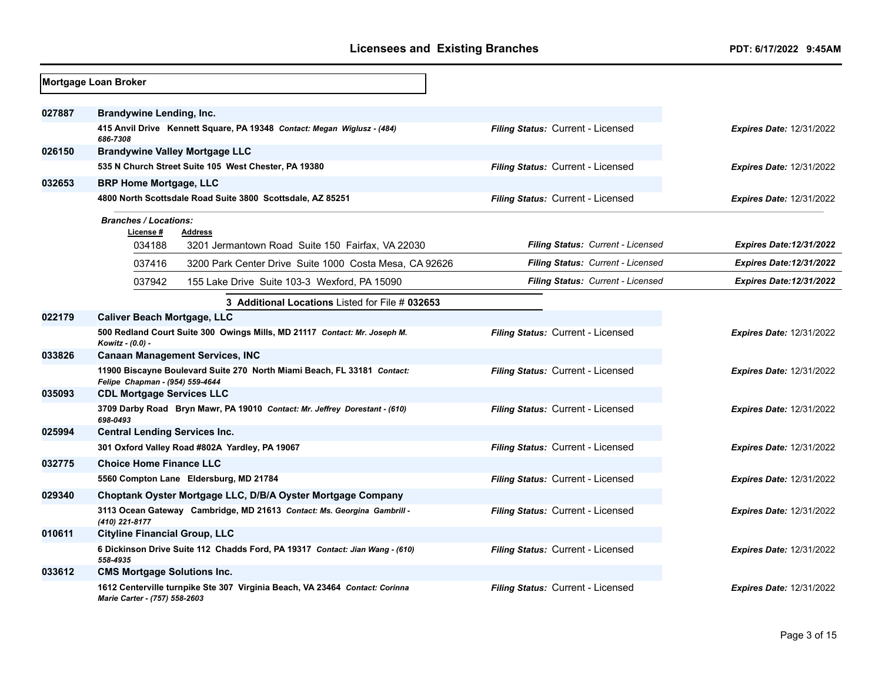|        | Mortgage Loan Broker                 |                                                                              |                                   |                                 |
|--------|--------------------------------------|------------------------------------------------------------------------------|-----------------------------------|---------------------------------|
| 027887 | Brandywine Lending, Inc.             |                                                                              |                                   |                                 |
|        | 686-7308                             | 415 Anvil Drive Kennett Square, PA 19348 Contact: Megan Wiglusz - (484)      | Filing Status: Current - Licensed | <b>Expires Date: 12/31/2022</b> |
| 026150 |                                      | <b>Brandywine Valley Mortgage LLC</b>                                        |                                   |                                 |
|        |                                      | 535 N Church Street Suite 105 West Chester, PA 19380                         | Filing Status: Current - Licensed | <b>Expires Date: 12/31/2022</b> |
| 032653 | <b>BRP Home Mortgage, LLC</b>        |                                                                              |                                   |                                 |
|        |                                      | 4800 North Scottsdale Road Suite 3800 Scottsdale, AZ 85251                   | Filing Status: Current - Licensed | <b>Expires Date: 12/31/2022</b> |
|        | <b>Branches / Locations:</b>         |                                                                              |                                   |                                 |
|        | License #                            | <b>Address</b>                                                               | Filing Status: Current - Licensed |                                 |
|        | 034188                               | 3201 Jermantown Road Suite 150 Fairfax, VA 22030                             |                                   | <b>Expires Date:12/31/2022</b>  |
|        | 037416                               | 3200 Park Center Drive Suite 1000 Costa Mesa, CA 92626                       | Filing Status: Current - Licensed | <b>Expires Date:12/31/2022</b>  |
|        | 037942                               | 155 Lake Drive Suite 103-3 Wexford, PA 15090                                 | Filing Status: Current - Licensed | <b>Expires Date:12/31/2022</b>  |
|        |                                      | 3 Additional Locations Listed for File # 032653                              |                                   |                                 |
| 022179 | <b>Caliver Beach Mortgage, LLC</b>   |                                                                              |                                   |                                 |
|        | Kowitz - (0.0) -                     | 500 Redland Court Suite 300 Owings Mills, MD 21117 Contact: Mr. Joseph M.    | Filing Status: Current - Licensed | <b>Expires Date: 12/31/2022</b> |
| 033826 |                                      | <b>Canaan Management Services, INC</b>                                       |                                   |                                 |
|        | Felipe Chapman - (954) 559-4644      | 11900 Biscayne Boulevard Suite 270 North Miami Beach, FL 33181 Contact:      | Filing Status: Current - Licensed | <b>Expires Date: 12/31/2022</b> |
| 035093 | <b>CDL Mortgage Services LLC</b>     |                                                                              |                                   |                                 |
|        | 698-0493                             | 3709 Darby Road Bryn Mawr, PA 19010 Contact: Mr. Jeffrey Dorestant - (610)   | Filing Status: Current - Licensed | <b>Expires Date: 12/31/2022</b> |
| 025994 | <b>Central Lending Services Inc.</b> |                                                                              |                                   |                                 |
|        |                                      | 301 Oxford Valley Road #802A Yardley, PA 19067                               | Filing Status: Current - Licensed | <b>Expires Date: 12/31/2022</b> |
| 032775 | <b>Choice Home Finance LLC</b>       |                                                                              |                                   |                                 |
|        |                                      | 5560 Compton Lane Eldersburg, MD 21784                                       | Filing Status: Current - Licensed | <b>Expires Date: 12/31/2022</b> |
| 029340 |                                      | Choptank Oyster Mortgage LLC, D/B/A Oyster Mortgage Company                  |                                   |                                 |
|        | (410) 221-8177                       | 3113 Ocean Gateway Cambridge, MD 21613 Contact: Ms. Georgina Gambrill -      | Filing Status: Current - Licensed | <b>Expires Date: 12/31/2022</b> |
| 010611 | <b>Cityline Financial Group, LLC</b> |                                                                              |                                   |                                 |
|        | 558-4935                             | 6 Dickinson Drive Suite 112 Chadds Ford, PA 19317 Contact: Jian Wang - (610) | Filing Status: Current - Licensed | <b>Expires Date: 12/31/2022</b> |
| 033612 | <b>CMS Mortgage Solutions Inc.</b>   |                                                                              |                                   |                                 |
|        | Marie Carter - (757) 558-2603        | 1612 Centerville turnpike Ste 307 Virginia Beach, VA 23464 Contact: Corinna  | Filing Status: Current - Licensed | <b>Expires Date: 12/31/2022</b> |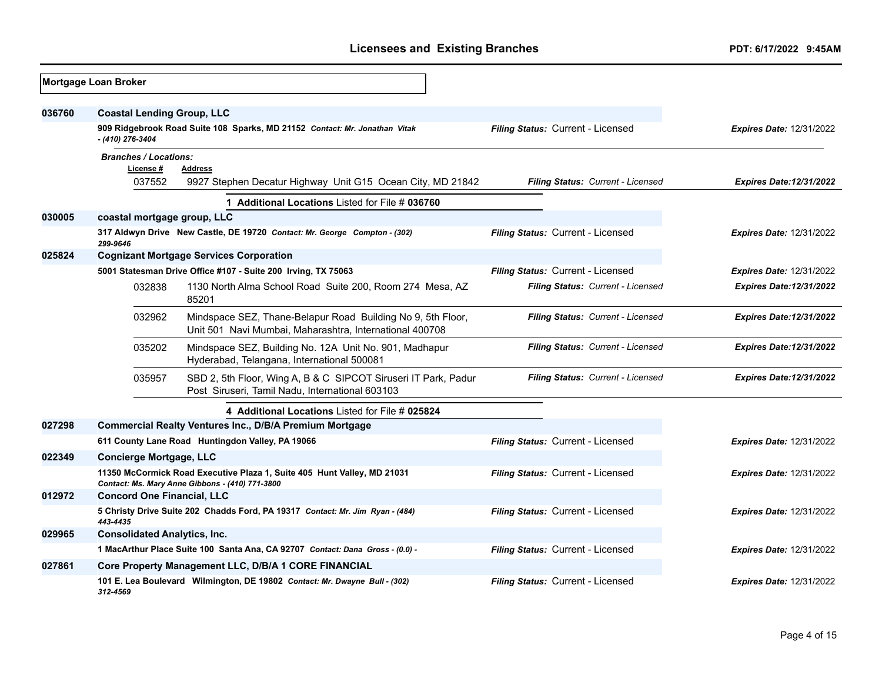|        | Mortgage Loan Broker                      |                                                                                                                            |                                   |                                 |
|--------|-------------------------------------------|----------------------------------------------------------------------------------------------------------------------------|-----------------------------------|---------------------------------|
| 036760 | <b>Coastal Lending Group, LLC</b>         |                                                                                                                            |                                   |                                 |
|        | - (410) 276-3404                          | 909 Ridgebrook Road Suite 108 Sparks, MD 21152 Contact: Mr. Jonathan Vitak                                                 | Filing Status: Current - Licensed | <b>Expires Date: 12/31/2022</b> |
|        | <b>Branches / Locations:</b><br>License # | Address                                                                                                                    |                                   |                                 |
|        | 037552                                    | 9927 Stephen Decatur Highway Unit G15 Ocean City, MD 21842                                                                 | Filing Status: Current - Licensed | <b>Expires Date:12/31/2022</b>  |
|        |                                           | 1 Additional Locations Listed for File # 036760                                                                            |                                   |                                 |
| 030005 | coastal mortgage group, LLC               |                                                                                                                            |                                   |                                 |
|        | 299-9646                                  | 317 Aldwyn Drive New Castle, DE 19720 Contact: Mr. George Compton - (302)                                                  | Filing Status: Current - Licensed | <b>Expires Date: 12/31/2022</b> |
| 025824 |                                           | <b>Cognizant Mortgage Services Corporation</b>                                                                             |                                   |                                 |
|        |                                           | 5001 Statesman Drive Office #107 - Suite 200 Irving, TX 75063                                                              | Filing Status: Current - Licensed | <b>Expires Date: 12/31/2022</b> |
|        | 032838                                    | 1130 North Alma School Road Suite 200, Room 274 Mesa, AZ<br>85201                                                          | Filing Status: Current - Licensed | <b>Expires Date:12/31/2022</b>  |
|        | 032962                                    | Mindspace SEZ, Thane-Belapur Road Building No 9, 5th Floor,<br>Unit 501 Navi Mumbai, Maharashtra, International 400708     | Filing Status: Current - Licensed | <b>Expires Date:12/31/2022</b>  |
|        | 035202                                    | Mindspace SEZ, Building No. 12A Unit No. 901, Madhapur<br>Hyderabad, Telangana, International 500081                       | Filing Status: Current - Licensed | <b>Expires Date:12/31/2022</b>  |
|        | 035957                                    | SBD 2, 5th Floor, Wing A, B & C SIPCOT Siruseri IT Park, Padur<br>Post Siruseri, Tamil Nadu, International 603103          | Filing Status: Current - Licensed | <b>Expires Date:12/31/2022</b>  |
|        |                                           | 4 Additional Locations Listed for File # 025824                                                                            |                                   |                                 |
| 027298 |                                           | <b>Commercial Realty Ventures Inc., D/B/A Premium Mortgage</b>                                                             |                                   |                                 |
|        |                                           | 611 County Lane Road Huntingdon Valley, PA 19066                                                                           | Filing Status: Current - Licensed | <b>Expires Date: 12/31/2022</b> |
| 022349 | <b>Concierge Mortgage, LLC</b>            |                                                                                                                            |                                   |                                 |
|        |                                           | 11350 McCormick Road Executive Plaza 1, Suite 405 Hunt Valley, MD 21031<br>Contact: Ms. Mary Anne Gibbons - (410) 771-3800 | Filing Status: Current - Licensed | <b>Expires Date: 12/31/2022</b> |
| 012972 | <b>Concord One Financial, LLC</b>         |                                                                                                                            |                                   |                                 |
|        | 443-4435                                  | 5 Christy Drive Suite 202 Chadds Ford, PA 19317 Contact: Mr. Jim Ryan - (484)                                              | Filing Status: Current - Licensed | <b>Expires Date: 12/31/2022</b> |
| 029965 | <b>Consolidated Analytics, Inc.</b>       |                                                                                                                            |                                   |                                 |
|        |                                           | 1 MacArthur Place Suite 100 Santa Ana, CA 92707 Contact: Dana Gross - (0.0) -                                              | Filing Status: Current - Licensed | <b>Expires Date: 12/31/2022</b> |
| 027861 |                                           | Core Property Management LLC, D/B/A 1 CORE FINANCIAL                                                                       |                                   |                                 |
|        | 312-4569                                  | 101 E. Lea Boulevard Wilmington, DE 19802 Contact: Mr. Dwayne Bull - (302)                                                 | Filing Status: Current - Licensed | <b>Expires Date: 12/31/2022</b> |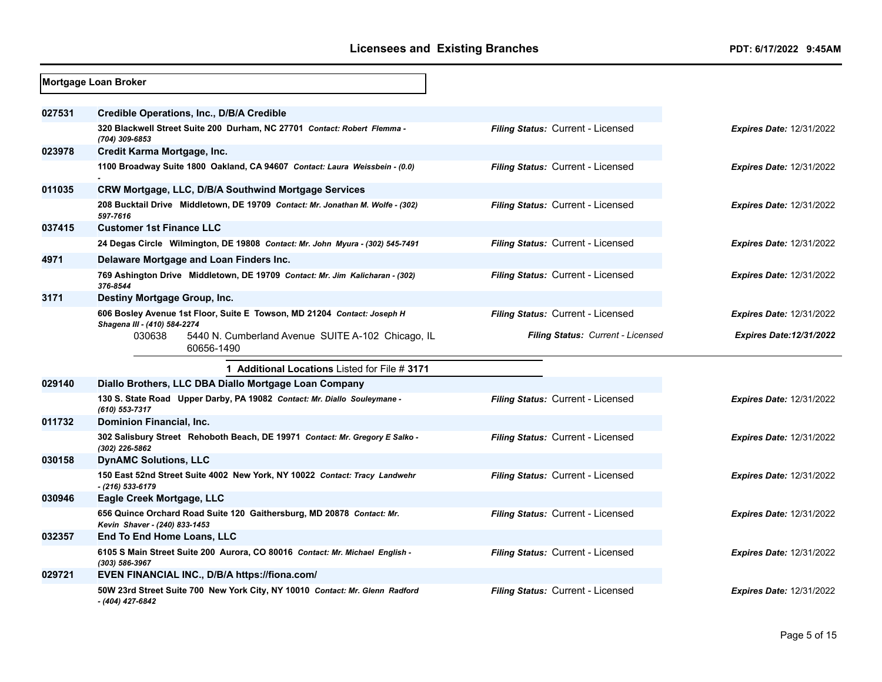|        | Mortgage Loan Broker                                                                                      |                                          |                                 |
|--------|-----------------------------------------------------------------------------------------------------------|------------------------------------------|---------------------------------|
| 027531 | Credible Operations, Inc., D/B/A Credible                                                                 |                                          |                                 |
|        | 320 Blackwell Street Suite 200 Durham, NC 27701 Contact: Robert Flemma -<br>(704) 309-6853                | <b>Filing Status: Current - Licensed</b> | <b>Expires Date: 12/31/2022</b> |
| 023978 | Credit Karma Mortgage, Inc.                                                                               |                                          |                                 |
|        | 1100 Broadway Suite 1800 Oakland, CA 94607 Contact: Laura Weissbein - (0.0)                               | Filing Status: Current - Licensed        | Expires Date: 12/31/2022        |
| 011035 | CRW Mortgage, LLC, D/B/A Southwind Mortgage Services                                                      |                                          |                                 |
|        | 208 Bucktail Drive Middletown, DE 19709 Contact: Mr. Jonathan M. Wolfe - (302)<br>597-7616                | Filing Status: Current - Licensed        | <b>Expires Date: 12/31/2022</b> |
| 037415 | <b>Customer 1st Finance LLC</b>                                                                           |                                          |                                 |
|        | 24 Degas Circle Wilmington, DE 19808 Contact: Mr. John Myura - (302) 545-7491                             | Filing Status: Current - Licensed        | <b>Expires Date: 12/31/2022</b> |
| 4971   | Delaware Mortgage and Loan Finders Inc.                                                                   |                                          |                                 |
|        | 769 Ashington Drive Middletown, DE 19709 Contact: Mr. Jim Kalicharan - (302)<br>376-8544                  | Filing Status: Current - Licensed        | <b>Expires Date: 12/31/2022</b> |
| 3171   | Destiny Mortgage Group, Inc.                                                                              |                                          |                                 |
|        | 606 Bosley Avenue 1st Floor, Suite E Towson, MD 21204 Contact: Joseph H                                   | Filing Status: Current - Licensed        | <b>Expires Date: 12/31/2022</b> |
|        | Shagena III - (410) 584-2274<br>030638<br>5440 N. Cumberland Avenue SUITE A-102 Chicago, IL<br>60656-1490 | Filing Status: Current - Licensed        | <b>Expires Date:12/31/2022</b>  |
|        | 1 Additional Locations Listed for File # 3171                                                             |                                          |                                 |
| 029140 | Diallo Brothers, LLC DBA Diallo Mortgage Loan Company                                                     |                                          |                                 |
|        | 130 S. State Road Upper Darby, PA 19082 Contact: Mr. Diallo Souleymane -<br>(610) 553-7317                | Filing Status: Current - Licensed        | <b>Expires Date: 12/31/2022</b> |
| 011732 | Dominion Financial, Inc.                                                                                  |                                          |                                 |
|        | 302 Salisbury Street Rehoboth Beach, DE 19971 Contact: Mr. Gregory E Salko -<br>(302) 226-5862            | Filing Status: Current - Licensed        | <b>Expires Date: 12/31/2022</b> |
| 030158 | <b>DynAMC Solutions, LLC</b>                                                                              |                                          |                                 |
|        | 150 East 52nd Street Suite 4002 New York, NY 10022 Contact: Tracy Landwehr<br>- (216) 533-6179            | Filing Status: Current - Licensed        | Expires Date: 12/31/2022        |
| 030946 | Eagle Creek Mortgage, LLC                                                                                 |                                          |                                 |
|        | 656 Quince Orchard Road Suite 120 Gaithersburg, MD 20878 Contact: Mr.<br>Kevin Shaver - (240) 833-1453    | Filing Status: Current - Licensed        | <b>Expires Date: 12/31/2022</b> |
| 032357 | <b>End To End Home Loans, LLC</b>                                                                         |                                          |                                 |
|        | 6105 S Main Street Suite 200 Aurora, CO 80016 Contact: Mr. Michael English -<br>(303) 586-3967            | Filing Status: Current - Licensed        | <b>Expires Date: 12/31/2022</b> |
| 029721 | EVEN FINANCIAL INC., D/B/A https://fiona.com/                                                             |                                          |                                 |
|        | 50W 23rd Street Suite 700 New York City, NY 10010 Contact: Mr. Glenn Radford<br>- (404) 427-6842          | Filing Status: Current - Licensed        | Expires Date: 12/31/2022        |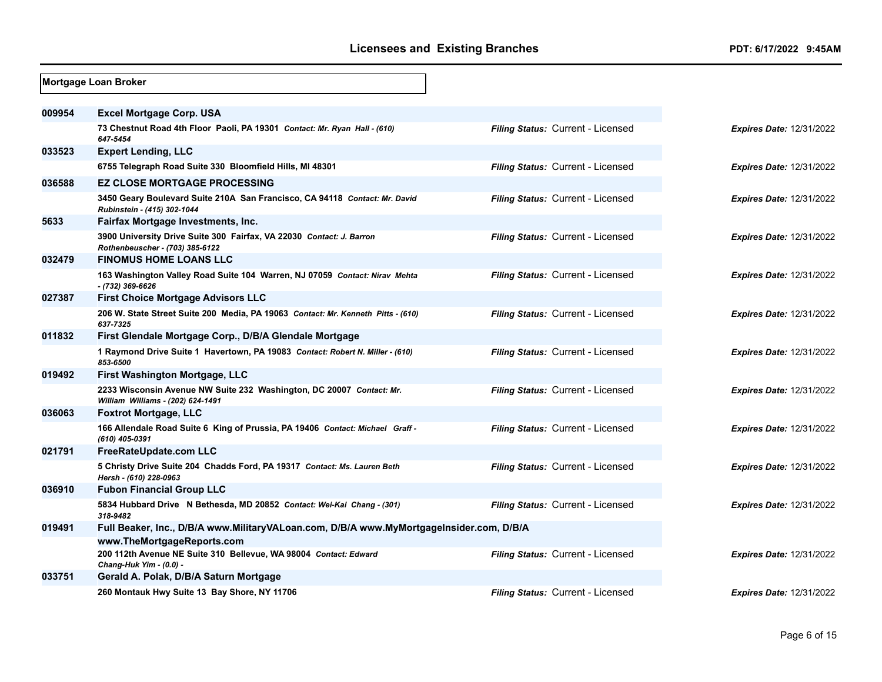|        | Mortgage Loan Broker                                                                                      |                                   |                                 |
|--------|-----------------------------------------------------------------------------------------------------------|-----------------------------------|---------------------------------|
|        |                                                                                                           |                                   |                                 |
| 009954 | <b>Excel Mortgage Corp. USA</b>                                                                           |                                   |                                 |
|        | 73 Chestnut Road 4th Floor Paoli, PA 19301 Contact: Mr. Ryan Hall - (610)<br>647-5454                     | Filing Status: Current - Licensed | <b>Expires Date: 12/31/2022</b> |
| 033523 | <b>Expert Lending, LLC</b>                                                                                |                                   |                                 |
|        | 6755 Telegraph Road Suite 330 Bloomfield Hills, MI 48301                                                  | Filing Status: Current - Licensed | <b>Expires Date: 12/31/2022</b> |
| 036588 | <b>EZ CLOSE MORTGAGE PROCESSING</b>                                                                       |                                   |                                 |
|        | 3450 Geary Boulevard Suite 210A San Francisco, CA 94118 Contact: Mr. David<br>Rubinstein - (415) 302-1044 | Filing Status: Current - Licensed | <b>Expires Date: 12/31/2022</b> |
| 5633   | Fairfax Mortgage Investments, Inc.                                                                        |                                   |                                 |
|        | 3900 University Drive Suite 300 Fairfax, VA 22030 Contact: J. Barron<br>Rothenbeuscher - (703) 385-6122   | Filing Status: Current - Licensed | <b>Expires Date: 12/31/2022</b> |
| 032479 | <b>FINOMUS HOME LOANS LLC</b>                                                                             |                                   |                                 |
|        | 163 Washington Valley Road Suite 104 Warren, NJ 07059 Contact: Nirav Mehta<br>- (732) 369-6626            | Filing Status: Current - Licensed | <b>Expires Date: 12/31/2022</b> |
| 027387 | <b>First Choice Mortgage Advisors LLC</b>                                                                 |                                   |                                 |
|        | 206 W. State Street Suite 200 Media, PA 19063 Contact: Mr. Kenneth Pitts - (610)<br>637-7325              | Filing Status: Current - Licensed | <b>Expires Date: 12/31/2022</b> |
| 011832 | First Glendale Mortgage Corp., D/B/A Glendale Mortgage                                                    |                                   |                                 |
|        | 1 Raymond Drive Suite 1 Havertown, PA 19083 Contact: Robert N. Miller - (610)<br>853-6500                 | Filing Status: Current - Licensed | <b>Expires Date: 12/31/2022</b> |
| 019492 | First Washington Mortgage, LLC                                                                            |                                   |                                 |
|        | 2233 Wisconsin Avenue NW Suite 232 Washington, DC 20007 Contact: Mr.<br>William Williams - (202) 624-1491 | Filing Status: Current - Licensed | Expires Date: 12/31/2022        |
| 036063 | <b>Foxtrot Mortgage, LLC</b>                                                                              |                                   |                                 |
|        | 166 Allendale Road Suite 6 King of Prussia, PA 19406 Contact: Michael Graff -<br>(610) 405-0391           | Filing Status: Current - Licensed | <b>Expires Date: 12/31/2022</b> |
| 021791 | FreeRateUpdate.com LLC                                                                                    |                                   |                                 |
|        | 5 Christy Drive Suite 204 Chadds Ford, PA 19317 Contact: Ms. Lauren Beth<br>Hersh - (610) 228-0963        | Filing Status: Current - Licensed | <b>Expires Date: 12/31/2022</b> |
| 036910 | <b>Fubon Financial Group LLC</b>                                                                          |                                   |                                 |
|        | 5834 Hubbard Drive N Bethesda, MD 20852 Contact: Wei-Kai Chang - (301)<br>318-9482                        | Filing Status: Current - Licensed | <b>Expires Date: 12/31/2022</b> |
| 019491 | Full Beaker, Inc., D/B/A www.MilitaryVALoan.com, D/B/A www.MyMortgageInsider.com, D/B/A                   |                                   |                                 |
|        | www.TheMortgageReports.com                                                                                |                                   |                                 |
|        | 200 112th Avenue NE Suite 310 Bellevue, WA 98004 Contact: Edward<br>Chang-Huk Yim - (0.0) -               | Filing Status: Current - Licensed | Expires Date: 12/31/2022        |
| 033751 | Gerald A. Polak, D/B/A Saturn Mortgage                                                                    |                                   |                                 |
|        | 260 Montauk Hwy Suite 13 Bay Shore, NY 11706                                                              | Filing Status: Current - Licensed | <b>Expires Date: 12/31/2022</b> |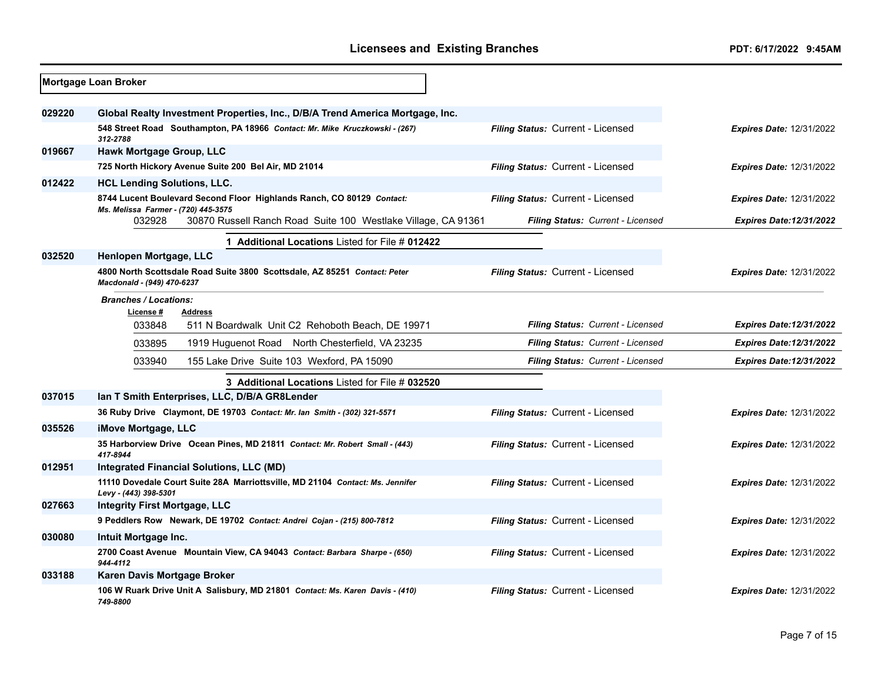|        | <b>Mortgage Loan Broker</b>                                                                                                                                  |                                   |                                 |
|--------|--------------------------------------------------------------------------------------------------------------------------------------------------------------|-----------------------------------|---------------------------------|
| 029220 | Global Realty Investment Properties, Inc., D/B/A Trend America Mortgage, Inc.<br>548 Street Road Southampton, PA 18966 Contact: Mr. Mike Kruczkowski - (267) | Filing Status: Current - Licensed | <b>Expires Date: 12/31/2022</b> |
|        | 312-2788                                                                                                                                                     |                                   |                                 |
| 019667 | Hawk Mortgage Group, LLC                                                                                                                                     |                                   |                                 |
|        | 725 North Hickory Avenue Suite 200 Bel Air, MD 21014                                                                                                         | Filing Status: Current - Licensed | <b>Expires Date: 12/31/2022</b> |
| 012422 | <b>HCL Lending Solutions, LLC.</b>                                                                                                                           |                                   |                                 |
|        | 8744 Lucent Boulevard Second Floor Highlands Ranch, CO 80129 Contact:<br>Ms. Melissa Farmer - (720) 445-3575                                                 | Filing Status: Current - Licensed | <b>Expires Date: 12/31/2022</b> |
|        | 032928<br>30870 Russell Ranch Road Suite 100 Westlake Village, CA 91361                                                                                      | Filing Status: Current - Licensed | <b>Expires Date:12/31/2022</b>  |
|        | 1 Additional Locations Listed for File # 012422                                                                                                              |                                   |                                 |
| 032520 | Henlopen Mortgage, LLC                                                                                                                                       |                                   |                                 |
|        | 4800 North Scottsdale Road Suite 3800 Scottsdale, AZ 85251 Contact: Peter<br>Macdonald - (949) 470-6237                                                      | Filing Status: Current - Licensed | <b>Expires Date: 12/31/2022</b> |
|        | <b>Branches / Locations:</b><br>License #<br><b>Address</b>                                                                                                  |                                   |                                 |
|        | 033848<br>511 N Boardwalk Unit C2 Rehoboth Beach, DE 19971                                                                                                   | Filing Status: Current - Licensed | <b>Expires Date:12/31/2022</b>  |
|        | 033895<br>1919 Huguenot Road North Chesterfield, VA 23235                                                                                                    | Filing Status: Current - Licensed | <b>Expires Date:12/31/2022</b>  |
|        | 033940<br>155 Lake Drive Suite 103 Wexford, PA 15090                                                                                                         | Filing Status: Current - Licensed | <b>Expires Date:12/31/2022</b>  |
|        | 3 Additional Locations Listed for File # 032520                                                                                                              |                                   |                                 |
| 037015 | Ian T Smith Enterprises, LLC, D/B/A GR8Lender                                                                                                                |                                   |                                 |
|        | 36 Ruby Drive Claymont, DE 19703 Contact: Mr. Ian Smith - (302) 321-5571                                                                                     | Filing Status: Current - Licensed | <b>Expires Date: 12/31/2022</b> |
| 035526 | iMove Mortgage, LLC                                                                                                                                          |                                   |                                 |
|        | 35 Harborview Drive Ocean Pines, MD 21811 Contact: Mr. Robert Small - (443)<br>417-8944                                                                      | Filing Status: Current - Licensed | <b>Expires Date: 12/31/2022</b> |
| 012951 | Integrated Financial Solutions, LLC (MD)                                                                                                                     |                                   |                                 |
|        | 11110 Dovedale Court Suite 28A Marriottsville, MD 21104 Contact: Ms. Jennifer<br>Levy - (443) 398-5301                                                       | Filing Status: Current - Licensed | <b>Expires Date: 12/31/2022</b> |
| 027663 | <b>Integrity First Mortgage, LLC</b>                                                                                                                         |                                   |                                 |
|        | 9 Peddlers Row Newark, DE 19702 Contact: Andrei Cojan - (215) 800-7812                                                                                       | Filing Status: Current - Licensed | <b>Expires Date: 12/31/2022</b> |
| 030080 | Intuit Mortgage Inc.                                                                                                                                         |                                   |                                 |
|        | 2700 Coast Avenue Mountain View, CA 94043 Contact: Barbara Sharpe - (650)<br>944-4112                                                                        | Filing Status: Current - Licensed | <b>Expires Date: 12/31/2022</b> |
| 033188 | Karen Davis Mortgage Broker                                                                                                                                  |                                   |                                 |
|        | 106 W Ruark Drive Unit A Salisbury, MD 21801 Contact: Ms. Karen Davis - (410)<br>749-8800                                                                    | Filing Status: Current - Licensed | <b>Expires Date: 12/31/2022</b> |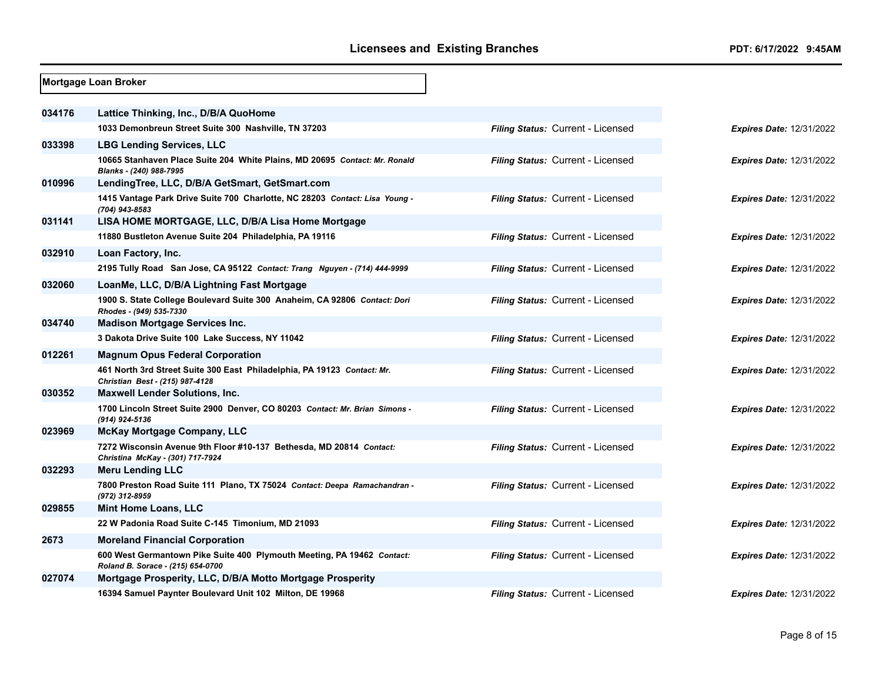|        | Mortgage Loan Broker                                                                                        |                                   |                                 |
|--------|-------------------------------------------------------------------------------------------------------------|-----------------------------------|---------------------------------|
| 034176 | Lattice Thinking, Inc., D/B/A QuoHome                                                                       |                                   |                                 |
|        | 1033 Demonbreun Street Suite 300 Nashville, TN 37203                                                        | Filing Status: Current - Licensed |                                 |
|        |                                                                                                             |                                   | <b>Expires Date: 12/31/2022</b> |
| 033398 | <b>LBG Lending Services, LLC</b>                                                                            |                                   |                                 |
|        | 10665 Stanhaven Place Suite 204 White Plains, MD 20695 Contact: Mr. Ronald<br>Blanks - (240) 988-7995       | Filing Status: Current - Licensed | <b>Expires Date: 12/31/2022</b> |
| 010996 | LendingTree, LLC, D/B/A GetSmart, GetSmart.com                                                              |                                   |                                 |
|        | 1415 Vantage Park Drive Suite 700 Charlotte, NC 28203 Contact: Lisa Young -<br>(704) 943-8583               | Filing Status: Current - Licensed | <b>Expires Date: 12/31/2022</b> |
| 031141 | LISA HOME MORTGAGE, LLC, D/B/A Lisa Home Mortgage                                                           |                                   |                                 |
|        | 11880 Bustleton Avenue Suite 204 Philadelphia, PA 19116                                                     | Filing Status: Current - Licensed | <b>Expires Date: 12/31/2022</b> |
| 032910 | Loan Factory, Inc.                                                                                          |                                   |                                 |
|        | 2195 Tully Road San Jose, CA 95122 Contact: Trang Nguyen - (714) 444-9999                                   | Filing Status: Current - Licensed | <b>Expires Date: 12/31/2022</b> |
| 032060 | LoanMe, LLC, D/B/A Lightning Fast Mortgage                                                                  |                                   |                                 |
|        | 1900 S. State College Boulevard Suite 300 Anaheim, CA 92806 Contact: Dori<br>Rhodes - (949) 535-7330        | Filing Status: Current - Licensed | <b>Expires Date: 12/31/2022</b> |
| 034740 | <b>Madison Mortgage Services Inc.</b>                                                                       |                                   |                                 |
|        | 3 Dakota Drive Suite 100 Lake Success, NY 11042                                                             | Filing Status: Current - Licensed | <b>Expires Date: 12/31/2022</b> |
| 012261 | <b>Magnum Opus Federal Corporation</b>                                                                      |                                   |                                 |
|        | 461 North 3rd Street Suite 300 East Philadelphia, PA 19123 Contact: Mr.<br>Christian Best - (215) 987-4128  | Filing Status: Current - Licensed | <b>Expires Date: 12/31/2022</b> |
| 030352 | <b>Maxwell Lender Solutions, Inc.</b>                                                                       |                                   |                                 |
|        | 1700 Lincoln Street Suite 2900 Denver, CO 80203 Contact: Mr. Brian Simons -<br>(914) 924-5136               | Filing Status: Current - Licensed | <b>Expires Date: 12/31/2022</b> |
| 023969 | <b>McKay Mortgage Company, LLC</b>                                                                          |                                   |                                 |
|        | 7272 Wisconsin Avenue 9th Floor #10-137 Bethesda, MD 20814 Contact:<br>Christina McKay - (301) 717-7924     | Filing Status: Current - Licensed | <b>Expires Date: 12/31/2022</b> |
| 032293 | <b>Meru Lending LLC</b>                                                                                     |                                   |                                 |
|        | 7800 Preston Road Suite 111 Plano, TX 75024 Contact: Deepa Ramachandran -<br>(972) 312-8959                 | Filing Status: Current - Licensed | <b>Expires Date: 12/31/2022</b> |
| 029855 | <b>Mint Home Loans, LLC</b>                                                                                 |                                   |                                 |
|        | 22 W Padonia Road Suite C-145 Timonium, MD 21093                                                            | Filing Status: Current - Licensed | <b>Expires Date: 12/31/2022</b> |
| 2673   | <b>Moreland Financial Corporation</b>                                                                       |                                   |                                 |
|        | 600 West Germantown Pike Suite 400 Plymouth Meeting, PA 19462 Contact:<br>Roland B. Sorace - (215) 654-0700 | Filing Status: Current - Licensed | <b>Expires Date: 12/31/2022</b> |
| 027074 | Mortgage Prosperity, LLC, D/B/A Motto Mortgage Prosperity                                                   |                                   |                                 |
|        | 16394 Samuel Paynter Boulevard Unit 102 Milton, DE 19968                                                    | Filing Status: Current - Licensed | <b>Expires Date: 12/31/2022</b> |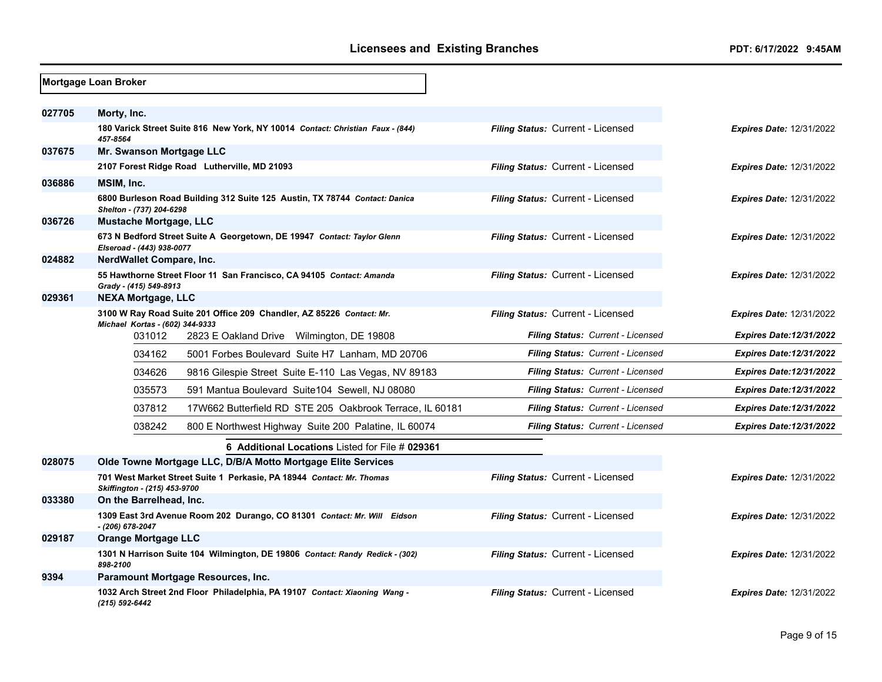|        | Mortgage Loan Broker                      |                                                                                |                                          |                                 |
|--------|-------------------------------------------|--------------------------------------------------------------------------------|------------------------------------------|---------------------------------|
| 027705 | Morty, Inc.                               |                                                                                |                                          |                                 |
|        | 457-8564                                  | 180 Varick Street Suite 816 New York, NY 10014 Contact: Christian Faux - (844) | Filing Status: Current - Licensed        | <b>Expires Date: 12/31/2022</b> |
| 037675 | Mr. Swanson Mortgage LLC                  |                                                                                |                                          |                                 |
|        |                                           | 2107 Forest Ridge Road Lutherville, MD 21093                                   | Filing Status: Current - Licensed        | <b>Expires Date: 12/31/2022</b> |
| 036886 | MSIM, Inc.                                |                                                                                |                                          |                                 |
|        | Shelton - (737) 204-6298                  | 6800 Burleson Road Building 312 Suite 125 Austin, TX 78744 Contact: Danica     | Filing Status: Current - Licensed        | <b>Expires Date: 12/31/2022</b> |
| 036726 | Mustache Mortgage, LLC                    |                                                                                |                                          |                                 |
|        | Elseroad - (443) 938-0077                 | 673 N Bedford Street Suite A Georgetown, DE 19947 Contact: Taylor Glenn        | Filing Status: Current - Licensed        | <b>Expires Date: 12/31/2022</b> |
| 024882 | NerdWallet Compare, Inc.                  |                                                                                |                                          |                                 |
|        | Grady - (415) 549-8913                    | 55 Hawthorne Street Floor 11 San Francisco, CA 94105 Contact: Amanda           | Filing Status: Current - Licensed        | <b>Expires Date: 12/31/2022</b> |
| 029361 | <b>NEXA Mortgage, LLC</b>                 |                                                                                |                                          |                                 |
|        |                                           | 3100 W Ray Road Suite 201 Office 209 Chandler, AZ 85226 Contact: Mr.           | Filing Status: Current - Licensed        | <b>Expires Date: 12/31/2022</b> |
|        | Michael Kortas - (602) 344-9333<br>031012 | 2823 E Oakland Drive Wilmington, DE 19808                                      | Filing Status: Current - Licensed        | <b>Expires Date:12/31/2022</b>  |
|        | 034162                                    | 5001 Forbes Boulevard Suite H7 Lanham, MD 20706                                | Filing Status: Current - Licensed        | <b>Expires Date:12/31/2022</b>  |
|        | 034626                                    | 9816 Gilespie Street Suite E-110 Las Vegas, NV 89183                           | <b>Filing Status: Current - Licensed</b> | <b>Expires Date:12/31/2022</b>  |
|        | 035573                                    | 591 Mantua Boulevard Suite104 Sewell, NJ 08080                                 | Filing Status: Current - Licensed        | <b>Expires Date:12/31/2022</b>  |
|        | 037812                                    | 17W662 Butterfield RD STE 205 Oakbrook Terrace, IL 60181                       | Filing Status: Current - Licensed        | <b>Expires Date:12/31/2022</b>  |
|        | 038242                                    | 800 E Northwest Highway Suite 200 Palatine, IL 60074                           | <b>Filing Status: Current - Licensed</b> | <b>Expires Date:12/31/2022</b>  |
|        |                                           | <b>6 Additional Locations Listed for File # 029361</b>                         |                                          |                                 |
| 028075 |                                           | Olde Towne Mortgage LLC, D/B/A Motto Mortgage Elite Services                   |                                          |                                 |
|        | Skiffington - (215) 453-9700              | 701 West Market Street Suite 1 Perkasie, PA 18944 Contact: Mr. Thomas          | Filing Status: Current - Licensed        | <b>Expires Date: 12/31/2022</b> |
| 033380 | On the Barrelhead, Inc.                   |                                                                                |                                          |                                 |
|        | - (206) 678-2047                          | 1309 East 3rd Avenue Room 202 Durango, CO 81301 Contact: Mr. Will Eidson       | Filing Status: Current - Licensed        | <b>Expires Date: 12/31/2022</b> |
| 029187 | <b>Orange Mortgage LLC</b>                |                                                                                |                                          |                                 |
|        | 898-2100                                  | 1301 N Harrison Suite 104 Wilmington, DE 19806 Contact: Randy Redick - (302)   | Filing Status: Current - Licensed        | <b>Expires Date: 12/31/2022</b> |
| 9394   |                                           | Paramount Mortgage Resources, Inc.                                             |                                          |                                 |
|        | (215) 592-6442                            | 1032 Arch Street 2nd Floor Philadelphia, PA 19107 Contact: Xiaoning Wang -     | Filing Status: Current - Licensed        | <b>Expires Date: 12/31/2022</b> |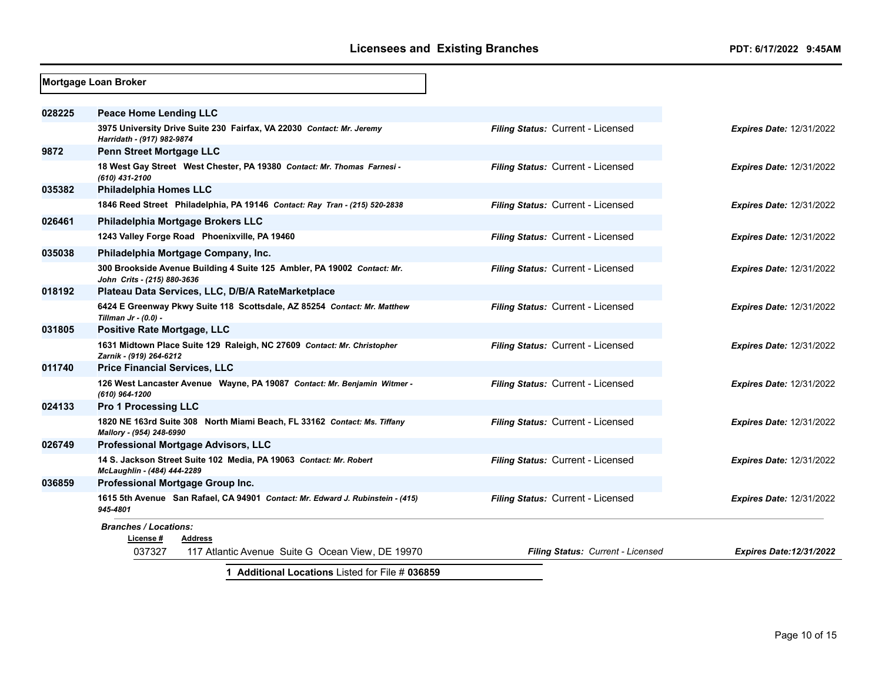|        | <b>Mortgage Loan Broker</b>                                                                            |                                   |                                 |
|--------|--------------------------------------------------------------------------------------------------------|-----------------------------------|---------------------------------|
| 028225 | <b>Peace Home Lending LLC</b>                                                                          |                                   |                                 |
|        | 3975 University Drive Suite 230 Fairfax, VA 22030 Contact: Mr. Jeremy<br>Harridath - (917) 982-9874    | Filing Status: Current - Licensed | <b>Expires Date: 12/31/2022</b> |
| 9872   | <b>Penn Street Mortgage LLC</b>                                                                        |                                   |                                 |
|        | 18 West Gay Street West Chester, PA 19380 Contact: Mr. Thomas Farnesi -<br>(610) 431-2100              | Filing Status: Current - Licensed | <b>Expires Date: 12/31/2022</b> |
| 035382 | <b>Philadelphia Homes LLC</b>                                                                          |                                   |                                 |
|        | 1846 Reed Street Philadelphia, PA 19146 Contact: Ray Tran - (215) 520-2838                             | Filing Status: Current - Licensed | <b>Expires Date: 12/31/2022</b> |
| 026461 | Philadelphia Mortgage Brokers LLC                                                                      |                                   |                                 |
|        | 1243 Valley Forge Road Phoenixville, PA 19460                                                          | Filing Status: Current - Licensed | <b>Expires Date: 12/31/2022</b> |
| 035038 | Philadelphia Mortgage Company, Inc.                                                                    |                                   |                                 |
|        | 300 Brookside Avenue Building 4 Suite 125 Ambler, PA 19002 Contact: Mr.<br>John Crits - (215) 880-3636 | Filing Status: Current - Licensed | <b>Expires Date: 12/31/2022</b> |
| 018192 | Plateau Data Services, LLC, D/B/A RateMarketplace                                                      |                                   |                                 |
|        | 6424 E Greenway Pkwy Suite 118 Scottsdale, AZ 85254 Contact: Mr. Matthew<br>Tillman $Jr - (0.0) -$     | Filing Status: Current - Licensed | <b>Expires Date: 12/31/2022</b> |
| 031805 | Positive Rate Mortgage, LLC                                                                            |                                   |                                 |
|        | 1631 Midtown Place Suite 129 Raleigh, NC 27609 Contact: Mr. Christopher<br>Zarnik - (919) 264-6212     | Filing Status: Current - Licensed | <b>Expires Date: 12/31/2022</b> |
| 011740 | <b>Price Financial Services, LLC</b>                                                                   |                                   |                                 |
|        | 126 West Lancaster Avenue Wayne, PA 19087 Contact: Mr. Benjamin Witmer -<br>(610) 964-1200             | Filing Status: Current - Licensed | <b>Expires Date: 12/31/2022</b> |
| 024133 | <b>Pro 1 Processing LLC</b>                                                                            |                                   |                                 |
|        | 1820 NE 163rd Suite 308 North Miami Beach, FL 33162 Contact: Ms. Tiffany<br>Mallory - (954) 248-6990   | Filing Status: Current - Licensed | <b>Expires Date: 12/31/2022</b> |
| 026749 | <b>Professional Mortgage Advisors, LLC</b>                                                             |                                   |                                 |
|        | 14 S. Jackson Street Suite 102 Media, PA 19063 Contact: Mr. Robert<br>McLaughlin - (484) 444-2289      | Filing Status: Current - Licensed | <b>Expires Date: 12/31/2022</b> |
| 036859 | Professional Mortgage Group Inc.                                                                       |                                   |                                 |
|        | 1615 5th Avenue San Rafael, CA 94901 Contact: Mr. Edward J. Rubinstein - (415)<br>945-4801             | Filing Status: Current - Licensed | Expires Date: 12/31/2022        |
|        | <b>Branches / Locations:</b>                                                                           |                                   |                                 |
|        | License #<br><b>Address</b>                                                                            |                                   |                                 |
|        | 037327<br>117 Atlantic Avenue Suite G Ocean View, DE 19970                                             | Filing Status: Current - Licensed | <b>Expires Date:12/31/2022</b>  |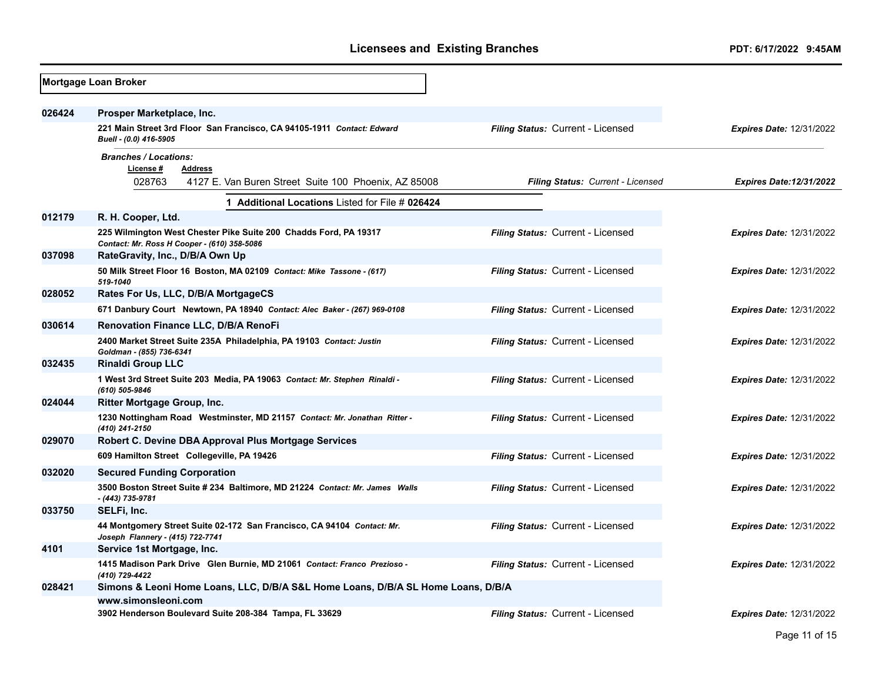|        | Mortgage Loan Broker                                                                                                          |                                          |                                 |
|--------|-------------------------------------------------------------------------------------------------------------------------------|------------------------------------------|---------------------------------|
| 026424 | Prosper Marketplace, Inc.<br>221 Main Street 3rd Floor San Francisco, CA 94105-1911 Contact: Edward<br>Buell - (0.0) 416-5905 | Filing Status: Current - Licensed        | <b>Expires Date: 12/31/2022</b> |
|        | <b>Branches / Locations:</b><br>License #<br><b>Address</b><br>028763<br>4127 E. Van Buren Street Suite 100 Phoenix, AZ 85008 | Filing Status: Current - Licensed        | <b>Expires Date:12/31/2022</b>  |
|        | 1 Additional Locations Listed for File # 026424                                                                               |                                          |                                 |
| 012179 | R. H. Cooper, Ltd.                                                                                                            |                                          |                                 |
|        | 225 Wilmington West Chester Pike Suite 200 Chadds Ford, PA 19317<br>Contact: Mr. Ross H Cooper - (610) 358-5086               | Filing Status: Current - Licensed        | <b>Expires Date: 12/31/2022</b> |
| 037098 | RateGravity, Inc., D/B/A Own Up<br>50 Milk Street Floor 16 Boston, MA 02109 Contact: Mike Tassone - (617)<br>519-1040         | <b>Filing Status: Current - Licensed</b> | <b>Expires Date: 12/31/2022</b> |
| 028052 | Rates For Us, LLC, D/B/A MortgageCS                                                                                           |                                          |                                 |
|        | 671 Danbury Court Newtown, PA 18940 Contact: Alec Baker - (267) 969-0108                                                      | Filing Status: Current - Licensed        | <b>Expires Date: 12/31/2022</b> |
| 030614 | <b>Renovation Finance LLC, D/B/A RenoFi</b>                                                                                   |                                          |                                 |
|        | 2400 Market Street Suite 235A Philadelphia, PA 19103 Contact: Justin<br>Goldman - (855) 736-6341                              | Filing Status: Current - Licensed        | <b>Expires Date: 12/31/2022</b> |
| 032435 | <b>Rinaldi Group LLC</b>                                                                                                      |                                          |                                 |
|        | 1 West 3rd Street Suite 203 Media, PA 19063 Contact: Mr. Stephen Rinaldi -<br>(610) 505-9846                                  | Filing Status: Current - Licensed        | <b>Expires Date: 12/31/2022</b> |
| 024044 | Ritter Mortgage Group, Inc.                                                                                                   |                                          |                                 |
|        | 1230 Nottingham Road Westminster, MD 21157 Contact: Mr. Jonathan Ritter -<br>(410) 241-2150                                   | Filing Status: Current - Licensed        | <b>Expires Date: 12/31/2022</b> |
| 029070 | Robert C. Devine DBA Approval Plus Mortgage Services                                                                          |                                          |                                 |
|        | 609 Hamilton Street Collegeville, PA 19426                                                                                    | Filing Status: Current - Licensed        | Expires Date: 12/31/2022        |
| 032020 | <b>Secured Funding Corporation</b>                                                                                            |                                          |                                 |
|        | 3500 Boston Street Suite # 234 Baltimore, MD 21224 Contact: Mr. James Walls<br>- (443) 735-9781                               | Filing Status: Current - Licensed        | <b>Expires Date: 12/31/2022</b> |
| 033750 | SELFi, Inc.                                                                                                                   |                                          |                                 |
|        | 44 Montgomery Street Suite 02-172 San Francisco, CA 94104 Contact: Mr.<br>Joseph Flannery - (415) 722-7741                    | Filing Status: Current - Licensed        | Expires Date: 12/31/2022        |
| 4101   | Service 1st Mortgage, Inc.                                                                                                    |                                          |                                 |
|        | 1415 Madison Park Drive Glen Burnie, MD 21061 Contact: Franco Prezioso -<br>(410) 729-4422                                    | Filing Status: Current - Licensed        | <b>Expires Date: 12/31/2022</b> |
| 028421 | Simons & Leoni Home Loans, LLC, D/B/A S&L Home Loans, D/B/A SL Home Loans, D/B/A                                              |                                          |                                 |
|        | www.simonsleoni.com<br>3902 Henderson Boulevard Suite 208-384 Tampa, FL 33629                                                 | Filing Status: Current - Licensed        | Expires Date: 12/31/2022        |
|        |                                                                                                                               |                                          |                                 |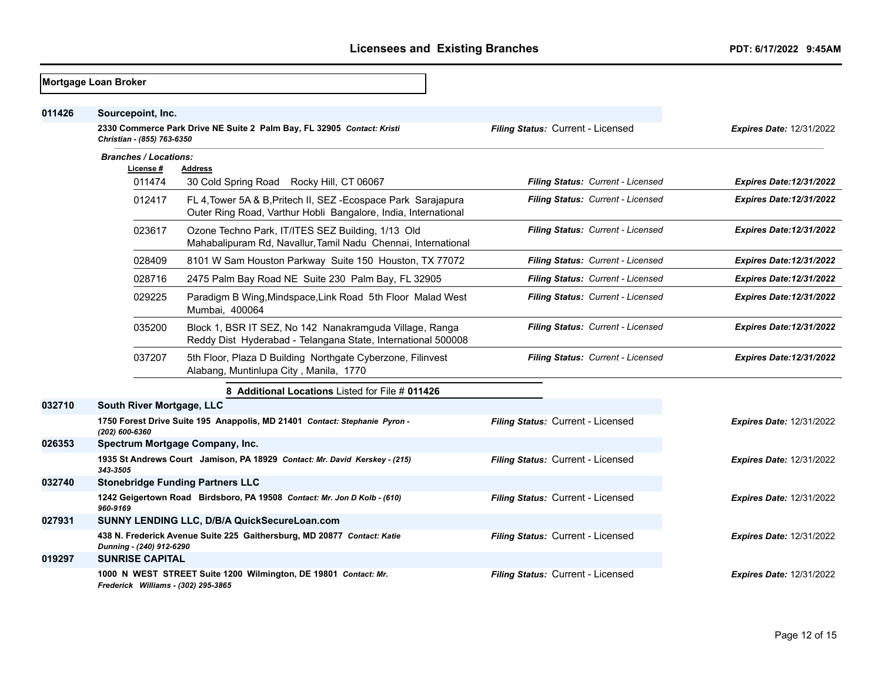|        | Mortgage Loan Broker                            |                                                                                                                                |                                   |                                 |
|--------|-------------------------------------------------|--------------------------------------------------------------------------------------------------------------------------------|-----------------------------------|---------------------------------|
| 011426 | Sourcepoint, Inc.<br>Christian - (855) 763-6350 | 2330 Commerce Park Drive NE Suite 2 Palm Bay, FL 32905 Contact: Kristi                                                         | Filing Status: Current - Licensed | <b>Expires Date: 12/31/2022</b> |
|        | <b>Branches / Locations:</b>                    |                                                                                                                                |                                   |                                 |
|        | License#<br>011474                              | <b>Address</b><br>30 Cold Spring Road Rocky Hill, CT 06067                                                                     | Filing Status: Current - Licensed | <b>Expires Date:12/31/2022</b>  |
|        | 012417                                          | FL 4, Tower 5A & B, Pritech II, SEZ-Ecospace Park Sarajapura<br>Outer Ring Road, Varthur Hobli Bangalore, India, International | Filing Status: Current - Licensed | <b>Expires Date:12/31/2022</b>  |
|        | 023617                                          | Ozone Techno Park, IT/ITES SEZ Building, 1/13 Old<br>Mahabalipuram Rd, Navallur, Tamil Nadu Chennai, International             | Filing Status: Current - Licensed | <b>Expires Date:12/31/2022</b>  |
|        | 028409                                          | 8101 W Sam Houston Parkway Suite 150 Houston, TX 77072                                                                         | Filing Status: Current - Licensed | <b>Expires Date:12/31/2022</b>  |
|        | 028716                                          | 2475 Palm Bay Road NE Suite 230 Palm Bay, FL 32905                                                                             | Filing Status: Current - Licensed | <b>Expires Date:12/31/2022</b>  |
|        | 029225                                          | Paradigm B Wing, Mindspace, Link Road 5th Floor Malad West<br>Mumbai, 400064                                                   | Filing Status: Current - Licensed | <b>Expires Date:12/31/2022</b>  |
|        | 035200                                          | Block 1, BSR IT SEZ, No 142 Nanakramguda Village, Ranga<br>Reddy Dist Hyderabad - Telangana State, International 500008        | Filing Status: Current - Licensed | <b>Expires Date:12/31/2022</b>  |
|        | 037207                                          | 5th Floor, Plaza D Building Northgate Cyberzone, Filinvest<br>Alabang, Muntinlupa City, Manila, 1770                           | Filing Status: Current - Licensed | <b>Expires Date:12/31/2022</b>  |
|        |                                                 | 8 Additional Locations Listed for File # 011426                                                                                |                                   |                                 |
| 032710 | South River Mortgage, LLC                       |                                                                                                                                |                                   |                                 |
|        | (202) 600-6360                                  | 1750 Forest Drive Suite 195 Anappolis, MD 21401 Contact: Stephanie Pyron -                                                     | Filing Status: Current - Licensed | <b>Expires Date: 12/31/2022</b> |
| 026353 |                                                 | Spectrum Mortgage Company, Inc.                                                                                                |                                   |                                 |
|        | 343-3505                                        | 1935 St Andrews Court Jamison, PA 18929 Contact: Mr. David Kerskey - (215)                                                     | Filing Status: Current - Licensed | <b>Expires Date: 12/31/2022</b> |
| 032740 |                                                 | <b>Stonebridge Funding Partners LLC</b>                                                                                        |                                   |                                 |
|        | 960-9169                                        | 1242 Geigertown Road Birdsboro, PA 19508 Contact: Mr. Jon D Kolb - (610)                                                       | Filing Status: Current - Licensed | <b>Expires Date: 12/31/2022</b> |
| 027931 |                                                 | SUNNY LENDING LLC, D/B/A QuickSecureLoan.com                                                                                   |                                   |                                 |
|        | Dunning - (240) 912-6290                        | 438 N. Frederick Avenue Suite 225 Gaithersburg, MD 20877 Contact: Katie                                                        | Filing Status: Current - Licensed | <b>Expires Date: 12/31/2022</b> |
| 019297 | <b>SUNRISE CAPITAL</b>                          |                                                                                                                                |                                   |                                 |
|        | Frederick Williams - (302) 295-3865             | 1000 N WEST STREET Suite 1200 Wilmington, DE 19801 Contact: Mr.                                                                | Filing Status: Current - Licensed | <b>Expires Date: 12/31/2022</b> |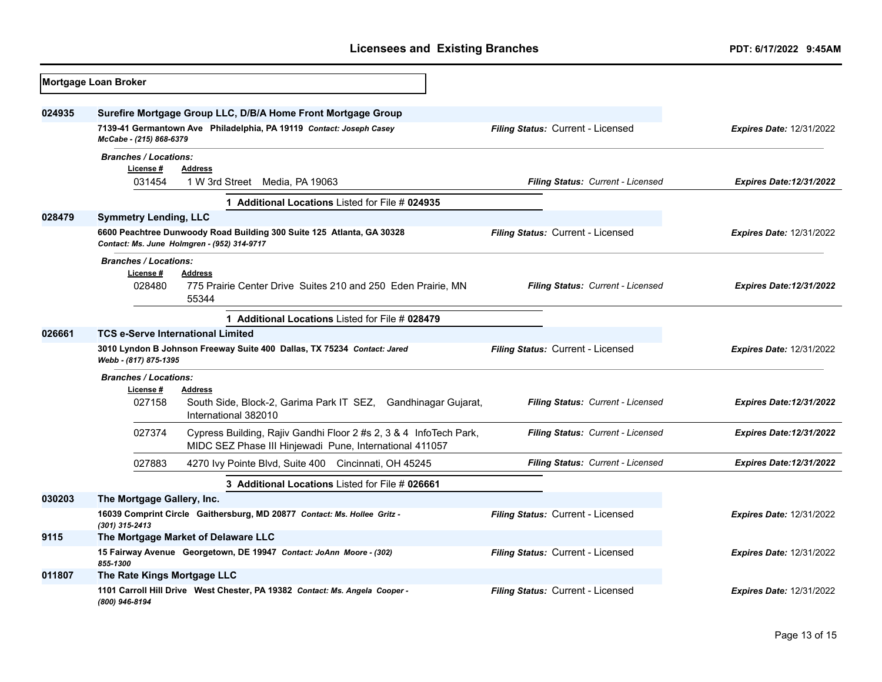|        | Mortgage Loan Broker                                                                       |                                                                                                                                     |                                          |                                 |
|--------|--------------------------------------------------------------------------------------------|-------------------------------------------------------------------------------------------------------------------------------------|------------------------------------------|---------------------------------|
| 024935 | McCabe - (215) 868-6379                                                                    | Surefire Mortgage Group LLC, D/B/A Home Front Mortgage Group<br>7139-41 Germantown Ave Philadelphia, PA 19119 Contact: Joseph Casey | Filing Status: Current - Licensed        | <b>Expires Date: 12/31/2022</b> |
|        | <b>Branches / Locations:</b><br>License#<br>031454                                         | <b>Address</b><br>1 W 3rd Street Media, PA 19063                                                                                    | Filing Status: Current - Licensed        | <b>Expires Date:12/31/2022</b>  |
|        |                                                                                            | 1 Additional Locations Listed for File # 024935                                                                                     |                                          |                                 |
| 028479 | <b>Symmetry Lending, LLC</b>                                                               | 6600 Peachtree Dunwoody Road Building 300 Suite 125 Atlanta, GA 30328<br>Contact: Ms. June Holmgren - (952) 314-9717                | <b>Filing Status: Current - Licensed</b> | <b>Expires Date: 12/31/2022</b> |
|        | <b>Branches / Locations:</b><br>License#<br>028480                                         | <b>Address</b><br>775 Prairie Center Drive Suites 210 and 250 Eden Prairie, MN<br>55344                                             | Filing Status: Current - Licensed        | <b>Expires Date:12/31/2022</b>  |
|        |                                                                                            |                                                                                                                                     |                                          |                                 |
| 026661 | <b>TCS e-Serve International Limited</b>                                                   |                                                                                                                                     |                                          |                                 |
|        | Webb - (817) 875-1395                                                                      | 3010 Lyndon B Johnson Freeway Suite 400 Dallas, TX 75234 Contact: Jared                                                             | Filing Status: Current - Licensed        | <b>Expires Date: 12/31/2022</b> |
|        | <b>Branches / Locations:</b><br>License #<br>027158                                        | <b>Address</b><br>South Side, Block-2, Garima Park IT SEZ, Gandhinagar Gujarat,<br>International 382010                             | Filing Status: Current - Licensed        | <b>Expires Date:12/31/2022</b>  |
|        | 027374                                                                                     | Cypress Building, Rajiv Gandhi Floor 2 #s 2, 3 & 4 InfoTech Park,<br>MIDC SEZ Phase III Hinjewadi Pune, International 411057        | Filing Status: Current - Licensed        | <b>Expires Date:12/31/2022</b>  |
|        | 027883                                                                                     | 4270 Ivy Pointe Blvd, Suite 400 Cincinnati, OH 45245                                                                                | Filing Status: Current - Licensed        | <b>Expires Date:12/31/2022</b>  |
|        |                                                                                            |                                                                                                                                     |                                          |                                 |
| 030203 | The Mortgage Gallery, Inc.                                                                 |                                                                                                                                     |                                          |                                 |
|        | 16039 Comprint Circle Gaithersburg, MD 20877 Contact: Ms. Hollee Gritz -<br>(301) 315-2413 |                                                                                                                                     | Filing Status: Current - Licensed        | <b>Expires Date: 12/31/2022</b> |
| 9115   |                                                                                            | The Mortgage Market of Delaware LLC                                                                                                 |                                          |                                 |
|        | 15 Fairway Avenue Georgetown, DE 19947 Contact: JoAnn Moore - (302)<br>855-1300            |                                                                                                                                     | Filing Status: Current - Licensed        | <b>Expires Date: 12/31/2022</b> |
| 011807 | The Rate Kings Mortgage LLC                                                                |                                                                                                                                     |                                          |                                 |
|        | (800) 946-8194                                                                             | 1101 Carroll Hill Drive West Chester, PA 19382 Contact: Ms. Angela Cooper -                                                         | Filing Status: Current - Licensed        | <b>Expires Date: 12/31/2022</b> |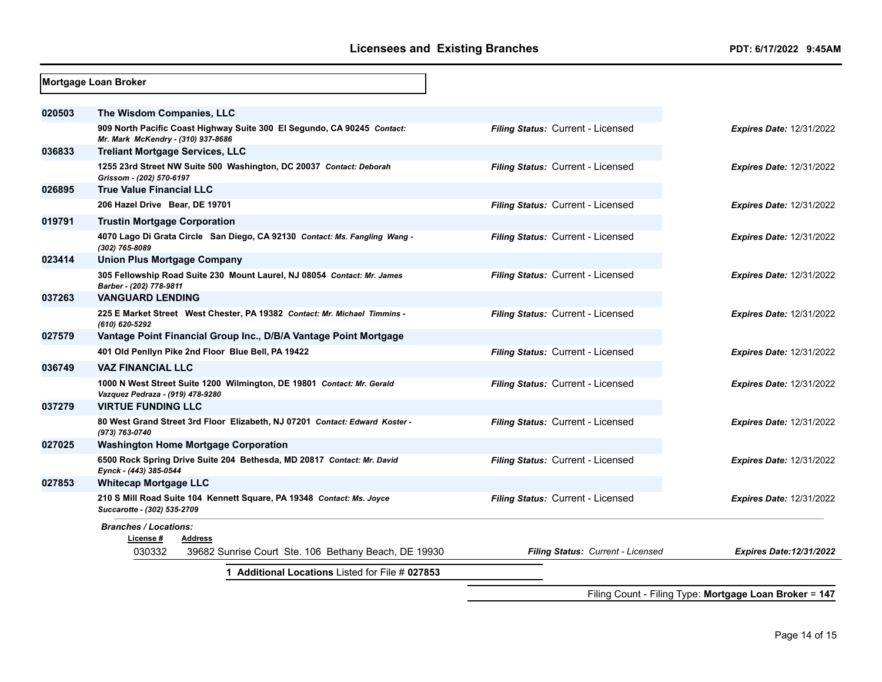|        | Mortgage Loan Broker                                                                                          |                                   |                                 |  |  |
|--------|---------------------------------------------------------------------------------------------------------------|-----------------------------------|---------------------------------|--|--|
| 020503 | The Wisdom Companies, LLC                                                                                     |                                   |                                 |  |  |
|        | 909 North Pacific Coast Highway Suite 300 El Segundo, CA 90245 Contact:<br>Mr. Mark McKendry - (310) 937-8686 | Filing Status: Current - Licensed | <b>Expires Date: 12/31/2022</b> |  |  |
| 036833 | <b>Treliant Mortgage Services, LLC</b>                                                                        |                                   |                                 |  |  |
|        | 1255 23rd Street NW Suite 500 Washington, DC 20037 Contact: Deborah<br>Grissom - (202) 570-6197               | Filing Status: Current - Licensed | <b>Expires Date: 12/31/2022</b> |  |  |
| 026895 | <b>True Value Financial LLC</b>                                                                               |                                   |                                 |  |  |
|        | 206 Hazel Drive Bear, DE 19701                                                                                | Filing Status: Current - Licensed | <b>Expires Date: 12/31/2022</b> |  |  |
| 019791 | <b>Trustin Mortgage Corporation</b>                                                                           |                                   |                                 |  |  |
|        | 4070 Lago Di Grata Circle San Diego, CA 92130 Contact: Ms. Fangling Wang -<br>(302) 765-8089                  | Filing Status: Current - Licensed | <b>Expires Date: 12/31/2022</b> |  |  |
| 023414 | Union Plus Mortgage Company                                                                                   |                                   |                                 |  |  |
|        | 305 Fellowship Road Suite 230 Mount Laurel, NJ 08054 Contact: Mr. James<br>Barber - (202) 778-9811            | Filing Status: Current - Licensed | <b>Expires Date: 12/31/2022</b> |  |  |
| 037263 | <b>VANGUARD LENDING</b>                                                                                       |                                   |                                 |  |  |
|        | 225 E Market Street West Chester, PA 19382 Contact: Mr. Michael Timmins -<br>(610) 620-5292                   | Filing Status: Current - Licensed | <b>Expires Date: 12/31/2022</b> |  |  |
| 027579 | Vantage Point Financial Group Inc., D/B/A Vantage Point Mortgage                                              |                                   |                                 |  |  |
|        | 401 Old Penllyn Pike 2nd Floor Blue Bell, PA 19422                                                            | Filing Status: Current - Licensed | <b>Expires Date: 12/31/2022</b> |  |  |
| 036749 | <b>VAZ FINANCIAL LLC</b>                                                                                      |                                   |                                 |  |  |
|        | 1000 N West Street Suite 1200 Wilmington, DE 19801 Contact: Mr. Gerald<br>Vazquez Pedraza - (919) 478-9280    | Filing Status: Current - Licensed | <b>Expires Date: 12/31/2022</b> |  |  |
| 037279 | <b>VIRTUE FUNDING LLC</b>                                                                                     |                                   |                                 |  |  |
|        | 80 West Grand Street 3rd Floor Elizabeth, NJ 07201 Contact: Edward Koster -<br>(973) 763-0740                 | Filing Status: Current - Licensed | <b>Expires Date: 12/31/2022</b> |  |  |
| 027025 | <b>Washington Home Mortgage Corporation</b>                                                                   |                                   |                                 |  |  |
|        | 6500 Rock Spring Drive Suite 204 Bethesda, MD 20817 Contact: Mr. David<br>Eynck - (443) 385-0544              | Filing Status: Current - Licensed | <b>Expires Date: 12/31/2022</b> |  |  |
| 027853 | <b>Whitecap Mortgage LLC</b>                                                                                  |                                   |                                 |  |  |
|        | 210 S Mill Road Suite 104 Kennett Square, PA 19348 Contact: Ms. Joyce<br>Succarotte - (302) 535-2709          | Filing Status: Current - Licensed | <b>Expires Date: 12/31/2022</b> |  |  |
|        | <b>Branches / Locations:</b>                                                                                  |                                   |                                 |  |  |
|        | License #<br>Address                                                                                          |                                   |                                 |  |  |
|        | 030332<br>39682 Sunrise Court Ste. 106 Bethany Beach, DE 19930                                                | Filing Status: Current - Licensed | <b>Expires Date:12/31/2022</b>  |  |  |
|        | <b>Additional Locations Listed for File # 027853</b>                                                          |                                   |                                 |  |  |

Filing Count - Filing Type: **Mortgage Loan Broker** = **147**